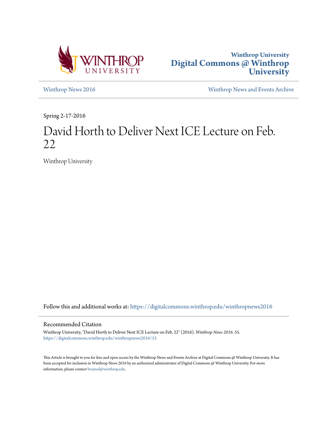



[Winthrop News 2016](https://digitalcommons.winthrop.edu/winthropnews2016?utm_source=digitalcommons.winthrop.edu%2Fwinthropnews2016%2F55&utm_medium=PDF&utm_campaign=PDFCoverPages) [Winthrop News and Events Archive](https://digitalcommons.winthrop.edu/winthropnewsarchives?utm_source=digitalcommons.winthrop.edu%2Fwinthropnews2016%2F55&utm_medium=PDF&utm_campaign=PDFCoverPages)

Spring 2-17-2016

## David Horth to Deliver Next ICE Lecture on Feb. 22

Winthrop University

Follow this and additional works at: [https://digitalcommons.winthrop.edu/winthropnews2016](https://digitalcommons.winthrop.edu/winthropnews2016?utm_source=digitalcommons.winthrop.edu%2Fwinthropnews2016%2F55&utm_medium=PDF&utm_campaign=PDFCoverPages)

## Recommended Citation

Winthrop University, "David Horth to Deliver Next ICE Lecture on Feb. 22" (2016). *Winthrop News 2016*. 55. [https://digitalcommons.winthrop.edu/winthropnews2016/55](https://digitalcommons.winthrop.edu/winthropnews2016/55?utm_source=digitalcommons.winthrop.edu%2Fwinthropnews2016%2F55&utm_medium=PDF&utm_campaign=PDFCoverPages)

This Article is brought to you for free and open access by the Winthrop News and Events Archive at Digital Commons @ Winthrop University. It has been accepted for inclusion in Winthrop News 2016 by an authorized administrator of Digital Commons @ Winthrop University. For more information, please contact [bramed@winthrop.edu](mailto:bramed@winthrop.edu).